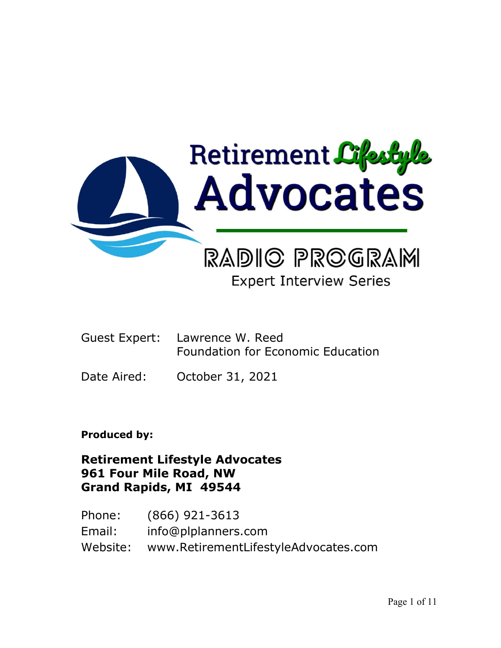

# **Expert Interview Series**

- Guest Expert: Lawrence W. Reed Foundation for Economic Education
- Date Aired: October 31, 2021

**Produced by:**

**Retirement Lifestyle Advocates 961 Four Mile Road, NW Grand Rapids, MI 49544**

Phone: (866) 921-3613 Email: info@plplanners.com Website: www.RetirementLifestyleAdvocates.com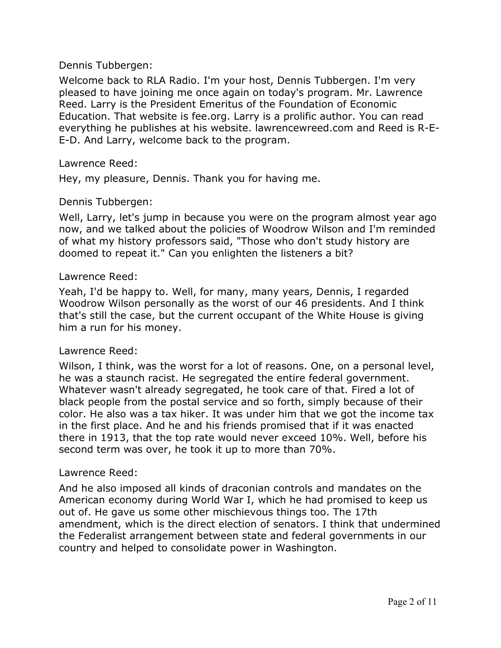Welcome back to RLA Radio. I'm your host, Dennis Tubbergen. I'm very pleased to have joining me once again on today's program. Mr. Lawrence Reed. Larry is the President Emeritus of the Foundation of Economic Education. That website is fee.org. Larry is a prolific author. You can read everything he publishes at his website. lawrencewreed.com and Reed is R-E-E-D. And Larry, welcome back to the program.

#### Lawrence Reed:

Hey, my pleasure, Dennis. Thank you for having me.

#### Dennis Tubbergen:

Well, Larry, let's jump in because you were on the program almost year ago now, and we talked about the policies of Woodrow Wilson and I'm reminded of what my history professors said, "Those who don't study history are doomed to repeat it." Can you enlighten the listeners a bit?

#### Lawrence Reed:

Yeah, I'd be happy to. Well, for many, many years, Dennis, I regarded Woodrow Wilson personally as the worst of our 46 presidents. And I think that's still the case, but the current occupant of the White House is giving him a run for his money.

#### Lawrence Reed:

Wilson, I think, was the worst for a lot of reasons. One, on a personal level, he was a staunch racist. He segregated the entire federal government. Whatever wasn't already segregated, he took care of that. Fired a lot of black people from the postal service and so forth, simply because of their color. He also was a tax hiker. It was under him that we got the income tax in the first place. And he and his friends promised that if it was enacted there in 1913, that the top rate would never exceed 10%. Well, before his second term was over, he took it up to more than 70%.

#### Lawrence Reed:

And he also imposed all kinds of draconian controls and mandates on the American economy during World War I, which he had promised to keep us out of. He gave us some other mischievous things too. The 17th amendment, which is the direct election of senators. I think that undermined the Federalist arrangement between state and federal governments in our country and helped to consolidate power in Washington.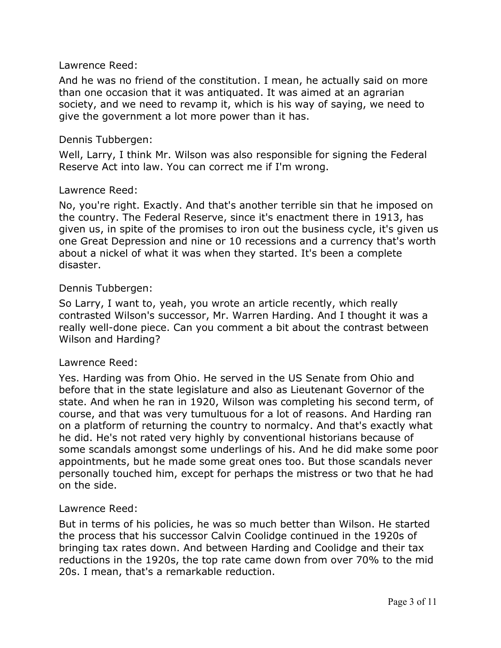## Lawrence Reed:

And he was no friend of the constitution. I mean, he actually said on more than one occasion that it was antiquated. It was aimed at an agrarian society, and we need to revamp it, which is his way of saying, we need to give the government a lot more power than it has.

## Dennis Tubbergen:

Well, Larry, I think Mr. Wilson was also responsible for signing the Federal Reserve Act into law. You can correct me if I'm wrong.

## Lawrence Reed:

No, you're right. Exactly. And that's another terrible sin that he imposed on the country. The Federal Reserve, since it's enactment there in 1913, has given us, in spite of the promises to iron out the business cycle, it's given us one Great Depression and nine or 10 recessions and a currency that's worth about a nickel of what it was when they started. It's been a complete disaster.

## Dennis Tubbergen:

So Larry, I want to, yeah, you wrote an article recently, which really contrasted Wilson's successor, Mr. Warren Harding. And I thought it was a really well-done piece. Can you comment a bit about the contrast between Wilson and Harding?

#### Lawrence Reed:

Yes. Harding was from Ohio. He served in the US Senate from Ohio and before that in the state legislature and also as Lieutenant Governor of the state. And when he ran in 1920, Wilson was completing his second term, of course, and that was very tumultuous for a lot of reasons. And Harding ran on a platform of returning the country to normalcy. And that's exactly what he did. He's not rated very highly by conventional historians because of some scandals amongst some underlings of his. And he did make some poor appointments, but he made some great ones too. But those scandals never personally touched him, except for perhaps the mistress or two that he had on the side.

#### Lawrence Reed:

But in terms of his policies, he was so much better than Wilson. He started the process that his successor Calvin Coolidge continued in the 1920s of bringing tax rates down. And between Harding and Coolidge and their tax reductions in the 1920s, the top rate came down from over 70% to the mid 20s. I mean, that's a remarkable reduction.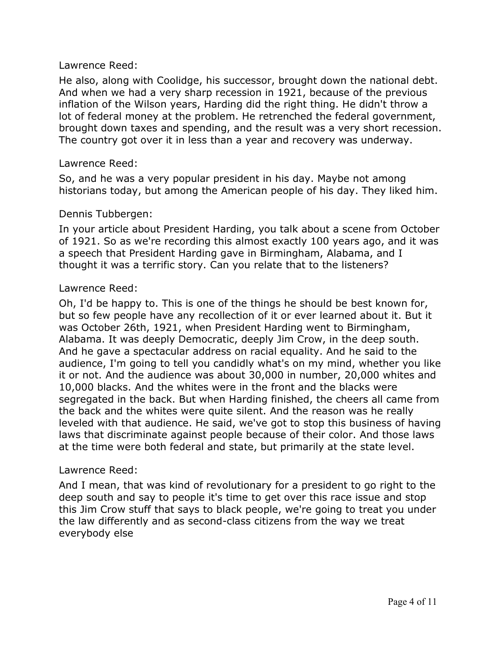## Lawrence Reed:

He also, along with Coolidge, his successor, brought down the national debt. And when we had a very sharp recession in 1921, because of the previous inflation of the Wilson years, Harding did the right thing. He didn't throw a lot of federal money at the problem. He retrenched the federal government, brought down taxes and spending, and the result was a very short recession. The country got over it in less than a year and recovery was underway.

## Lawrence Reed:

So, and he was a very popular president in his day. Maybe not among historians today, but among the American people of his day. They liked him.

## Dennis Tubbergen:

In your article about President Harding, you talk about a scene from October of 1921. So as we're recording this almost exactly 100 years ago, and it was a speech that President Harding gave in Birmingham, Alabama, and I thought it was a terrific story. Can you relate that to the listeners?

## Lawrence Reed:

Oh, I'd be happy to. This is one of the things he should be best known for, but so few people have any recollection of it or ever learned about it. But it was October 26th, 1921, when President Harding went to Birmingham, Alabama. It was deeply Democratic, deeply Jim Crow, in the deep south. And he gave a spectacular address on racial equality. And he said to the audience, I'm going to tell you candidly what's on my mind, whether you like it or not. And the audience was about 30,000 in number, 20,000 whites and 10,000 blacks. And the whites were in the front and the blacks were segregated in the back. But when Harding finished, the cheers all came from the back and the whites were quite silent. And the reason was he really leveled with that audience. He said, we've got to stop this business of having laws that discriminate against people because of their color. And those laws at the time were both federal and state, but primarily at the state level.

#### Lawrence Reed:

And I mean, that was kind of revolutionary for a president to go right to the deep south and say to people it's time to get over this race issue and stop this Jim Crow stuff that says to black people, we're going to treat you under the law differently and as second-class citizens from the way we treat everybody else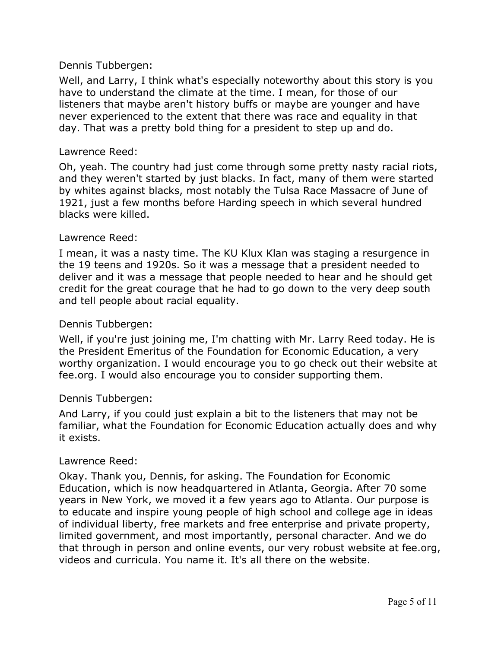Well, and Larry, I think what's especially noteworthy about this story is you have to understand the climate at the time. I mean, for those of our listeners that maybe aren't history buffs or maybe are younger and have never experienced to the extent that there was race and equality in that day. That was a pretty bold thing for a president to step up and do.

## Lawrence Reed:

Oh, yeah. The country had just come through some pretty nasty racial riots, and they weren't started by just blacks. In fact, many of them were started by whites against blacks, most notably the Tulsa Race Massacre of June of 1921, just a few months before Harding speech in which several hundred blacks were killed.

## Lawrence Reed:

I mean, it was a nasty time. The KU Klux Klan was staging a resurgence in the 19 teens and 1920s. So it was a message that a president needed to deliver and it was a message that people needed to hear and he should get credit for the great courage that he had to go down to the very deep south and tell people about racial equality.

# Dennis Tubbergen:

Well, if you're just joining me, I'm chatting with Mr. Larry Reed today. He is the President Emeritus of the Foundation for Economic Education, a very worthy organization. I would encourage you to go check out their website at fee.org. I would also encourage you to consider supporting them.

#### Dennis Tubbergen:

And Larry, if you could just explain a bit to the listeners that may not be familiar, what the Foundation for Economic Education actually does and why it exists.

#### Lawrence Reed:

Okay. Thank you, Dennis, for asking. The Foundation for Economic Education, which is now headquartered in Atlanta, Georgia. After 70 some years in New York, we moved it a few years ago to Atlanta. Our purpose is to educate and inspire young people of high school and college age in ideas of individual liberty, free markets and free enterprise and private property, limited government, and most importantly, personal character. And we do that through in person and online events, our very robust website at fee.org, videos and curricula. You name it. It's all there on the website.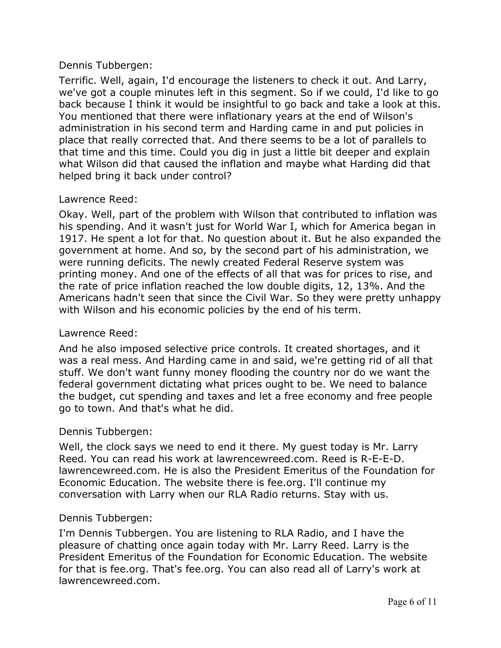Terrific. Well, again, I'd encourage the listeners to check it out. And Larry, we've got a couple minutes left in this segment. So if we could, I'd like to go back because I think it would be insightful to go back and take a look at this. You mentioned that there were inflationary years at the end of Wilson's administration in his second term and Harding came in and put policies in place that really corrected that. And there seems to be a lot of parallels to that time and this time. Could you dig in just a little bit deeper and explain what Wilson did that caused the inflation and maybe what Harding did that helped bring it back under control?

## Lawrence Reed:

Okay. Well, part of the problem with Wilson that contributed to inflation was his spending. And it wasn't just for World War I, which for America began in 1917. He spent a lot for that. No question about it. But he also expanded the government at home. And so, by the second part of his administration, we were running deficits. The newly created Federal Reserve system was printing money. And one of the effects of all that was for prices to rise, and the rate of price inflation reached the low double digits, 12, 13%. And the Americans hadn't seen that since the Civil War. So they were pretty unhappy with Wilson and his economic policies by the end of his term.

#### Lawrence Reed:

And he also imposed selective price controls. It created shortages, and it was a real mess. And Harding came in and said, we're getting rid of all that stuff. We don't want funny money flooding the country nor do we want the federal government dictating what prices ought to be. We need to balance the budget, cut spending and taxes and let a free economy and free people go to town. And that's what he did.

#### Dennis Tubbergen:

Well, the clock says we need to end it there. My guest today is Mr. Larry Reed. You can read his work at lawrencewreed.com. Reed is R-E-E-D. lawrencewreed.com. He is also the President Emeritus of the Foundation for Economic Education. The website there is fee.org. I'll continue my conversation with Larry when our RLA Radio returns. Stay with us.

#### Dennis Tubbergen:

I'm Dennis Tubbergen. You are listening to RLA Radio, and I have the pleasure of chatting once again today with Mr. Larry Reed. Larry is the President Emeritus of the Foundation for Economic Education. The website for that is fee.org. That's fee.org. You can also read all of Larry's work at lawrencewreed.com.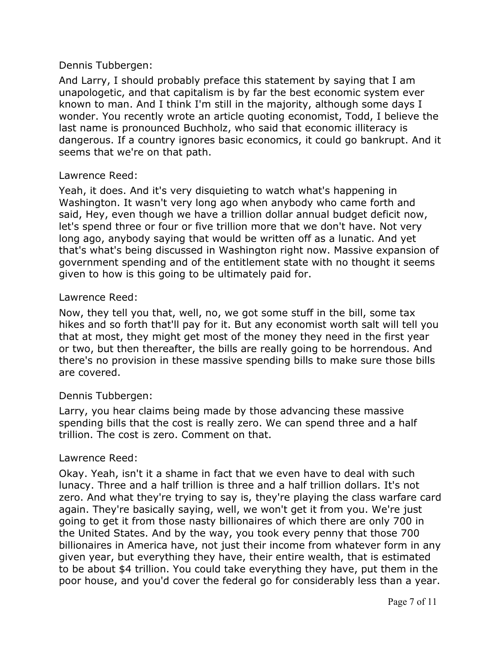And Larry, I should probably preface this statement by saying that I am unapologetic, and that capitalism is by far the best economic system ever known to man. And I think I'm still in the majority, although some days I wonder. You recently wrote an article quoting economist, Todd, I believe the last name is pronounced Buchholz, who said that economic illiteracy is dangerous. If a country ignores basic economics, it could go bankrupt. And it seems that we're on that path.

## Lawrence Reed:

Yeah, it does. And it's very disquieting to watch what's happening in Washington. It wasn't very long ago when anybody who came forth and said, Hey, even though we have a trillion dollar annual budget deficit now, let's spend three or four or five trillion more that we don't have. Not very long ago, anybody saying that would be written off as a lunatic. And yet that's what's being discussed in Washington right now. Massive expansion of government spending and of the entitlement state with no thought it seems given to how is this going to be ultimately paid for.

## Lawrence Reed:

Now, they tell you that, well, no, we got some stuff in the bill, some tax hikes and so forth that'll pay for it. But any economist worth salt will tell you that at most, they might get most of the money they need in the first year or two, but then thereafter, the bills are really going to be horrendous. And there's no provision in these massive spending bills to make sure those bills are covered.

# Dennis Tubbergen:

Larry, you hear claims being made by those advancing these massive spending bills that the cost is really zero. We can spend three and a half trillion. The cost is zero. Comment on that.

#### Lawrence Reed:

Okay. Yeah, isn't it a shame in fact that we even have to deal with such lunacy. Three and a half trillion is three and a half trillion dollars. It's not zero. And what they're trying to say is, they're playing the class warfare card again. They're basically saying, well, we won't get it from you. We're just going to get it from those nasty billionaires of which there are only 700 in the United States. And by the way, you took every penny that those 700 billionaires in America have, not just their income from whatever form in any given year, but everything they have, their entire wealth, that is estimated to be about \$4 trillion. You could take everything they have, put them in the poor house, and you'd cover the federal go for considerably less than a year.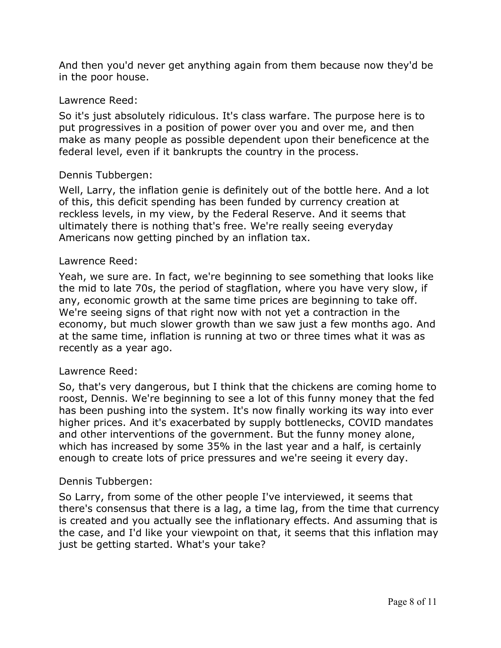And then you'd never get anything again from them because now they'd be in the poor house.

## Lawrence Reed:

So it's just absolutely ridiculous. It's class warfare. The purpose here is to put progressives in a position of power over you and over me, and then make as many people as possible dependent upon their beneficence at the federal level, even if it bankrupts the country in the process.

## Dennis Tubbergen:

Well, Larry, the inflation genie is definitely out of the bottle here. And a lot of this, this deficit spending has been funded by currency creation at reckless levels, in my view, by the Federal Reserve. And it seems that ultimately there is nothing that's free. We're really seeing everyday Americans now getting pinched by an inflation tax.

#### Lawrence Reed:

Yeah, we sure are. In fact, we're beginning to see something that looks like the mid to late 70s, the period of stagflation, where you have very slow, if any, economic growth at the same time prices are beginning to take off. We're seeing signs of that right now with not yet a contraction in the economy, but much slower growth than we saw just a few months ago. And at the same time, inflation is running at two or three times what it was as recently as a year ago.

#### Lawrence Reed:

So, that's very dangerous, but I think that the chickens are coming home to roost, Dennis. We're beginning to see a lot of this funny money that the fed has been pushing into the system. It's now finally working its way into ever higher prices. And it's exacerbated by supply bottlenecks, COVID mandates and other interventions of the government. But the funny money alone, which has increased by some 35% in the last year and a half, is certainly enough to create lots of price pressures and we're seeing it every day.

#### Dennis Tubbergen:

So Larry, from some of the other people I've interviewed, it seems that there's consensus that there is a lag, a time lag, from the time that currency is created and you actually see the inflationary effects. And assuming that is the case, and I'd like your viewpoint on that, it seems that this inflation may just be getting started. What's your take?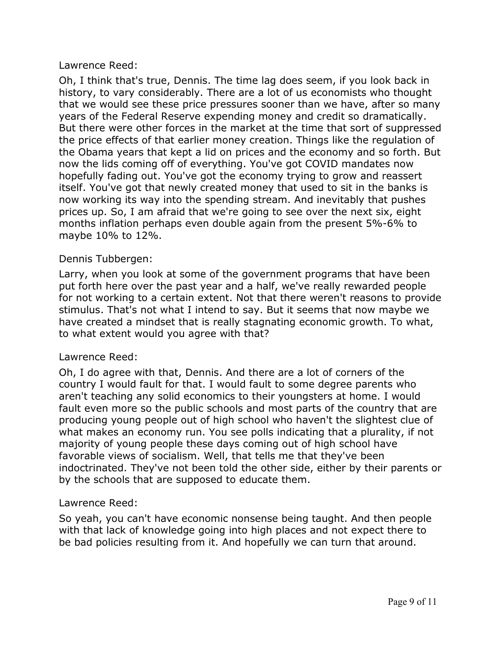## Lawrence Reed:

Oh, I think that's true, Dennis. The time lag does seem, if you look back in history, to vary considerably. There are a lot of us economists who thought that we would see these price pressures sooner than we have, after so many years of the Federal Reserve expending money and credit so dramatically. But there were other forces in the market at the time that sort of suppressed the price effects of that earlier money creation. Things like the regulation of the Obama years that kept a lid on prices and the economy and so forth. But now the lids coming off of everything. You've got COVID mandates now hopefully fading out. You've got the economy trying to grow and reassert itself. You've got that newly created money that used to sit in the banks is now working its way into the spending stream. And inevitably that pushes prices up. So, I am afraid that we're going to see over the next six, eight months inflation perhaps even double again from the present 5%-6% to maybe 10% to 12%.

## Dennis Tubbergen:

Larry, when you look at some of the government programs that have been put forth here over the past year and a half, we've really rewarded people for not working to a certain extent. Not that there weren't reasons to provide stimulus. That's not what I intend to say. But it seems that now maybe we have created a mindset that is really stagnating economic growth. To what, to what extent would you agree with that?

#### Lawrence Reed:

Oh, I do agree with that, Dennis. And there are a lot of corners of the country I would fault for that. I would fault to some degree parents who aren't teaching any solid economics to their youngsters at home. I would fault even more so the public schools and most parts of the country that are producing young people out of high school who haven't the slightest clue of what makes an economy run. You see polls indicating that a plurality, if not majority of young people these days coming out of high school have favorable views of socialism. Well, that tells me that they've been indoctrinated. They've not been told the other side, either by their parents or by the schools that are supposed to educate them.

# Lawrence Reed:

So yeah, you can't have economic nonsense being taught. And then people with that lack of knowledge going into high places and not expect there to be bad policies resulting from it. And hopefully we can turn that around.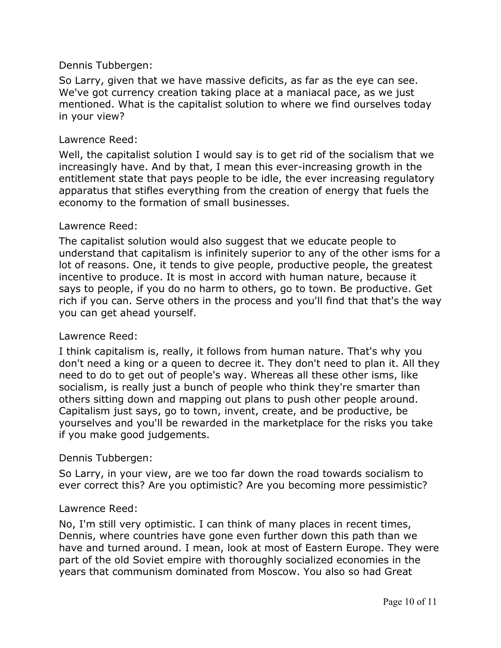So Larry, given that we have massive deficits, as far as the eye can see. We've got currency creation taking place at a maniacal pace, as we just mentioned. What is the capitalist solution to where we find ourselves today in your view?

## Lawrence Reed:

Well, the capitalist solution I would say is to get rid of the socialism that we increasingly have. And by that, I mean this ever-increasing growth in the entitlement state that pays people to be idle, the ever increasing regulatory apparatus that stifles everything from the creation of energy that fuels the economy to the formation of small businesses.

## Lawrence Reed:

The capitalist solution would also suggest that we educate people to understand that capitalism is infinitely superior to any of the other isms for a lot of reasons. One, it tends to give people, productive people, the greatest incentive to produce. It is most in accord with human nature, because it says to people, if you do no harm to others, go to town. Be productive. Get rich if you can. Serve others in the process and you'll find that that's the way you can get ahead yourself.

#### Lawrence Reed:

I think capitalism is, really, it follows from human nature. That's why you don't need a king or a queen to decree it. They don't need to plan it. All they need to do to get out of people's way. Whereas all these other isms, like socialism, is really just a bunch of people who think they're smarter than others sitting down and mapping out plans to push other people around. Capitalism just says, go to town, invent, create, and be productive, be yourselves and you'll be rewarded in the marketplace for the risks you take if you make good judgements.

# Dennis Tubbergen:

So Larry, in your view, are we too far down the road towards socialism to ever correct this? Are you optimistic? Are you becoming more pessimistic?

# Lawrence Reed:

No, I'm still very optimistic. I can think of many places in recent times, Dennis, where countries have gone even further down this path than we have and turned around. I mean, look at most of Eastern Europe. They were part of the old Soviet empire with thoroughly socialized economies in the years that communism dominated from Moscow. You also so had Great